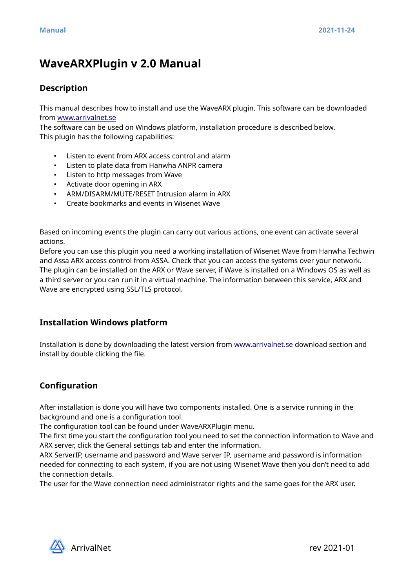# **WaveARXPlugin v 2.0 Manual**

## **Description**

This manual describes how to install and use the WaveARX plugin. This software can be downloaded from [www.arrivalnet.se](http://www.arrivalnet.se/)

The software can be used on Windows platform, installation procedure is described below. This plugin has the following capabilities:

- Listen to event from ARX access control and alarm
- Listen to plate data from Hanwha ANPR camera
- Listen to http messages from Wave
- Activate door opening in ARX
- ARM/DISARM/MUTE/RESET Intrusion alarm in ARX
- Create bookmarks and events in Wisenet Wave

Based on incoming events the plugin can carry out various actions, one event can activate several actions.

Before you can use this plugin you need a working installation of Wisenet Wave from Hanwha Techwin and Assa ARX access control from ASSA. Check that you can access the systems over your network. The plugin can be installed on the ARX or Wave server, if Wave is installed on a Windows OS as well as a third server or you can run it in a virtual machine. The information between this service, ARX and Wave are encrypted using SSL/TLS protocol.

## **Installation Windows platform**

Installation is done by downloading the latest version from [www.arrivalnet.se](http://www.arrivalnet.se/) download section and install by double clicking the file.

## **Configuration**

After installation is done you will have two components installed. One is a service running in the background and one is a configuration tool.

The configuration tool can be found under WaveARXPlugin menu.

The first time you start the configuration tool you need to set the connection information to Wave and ARX server, click the General settings tab and enter the information.

ARX ServerIP, username and password and Wave server IP, username and password is information needed for connecting to each system, if you are not using Wisenet Wave then you don't need to add the connection details.

The user for the Wave connection need administrator rights and the same goes for the ARX user.

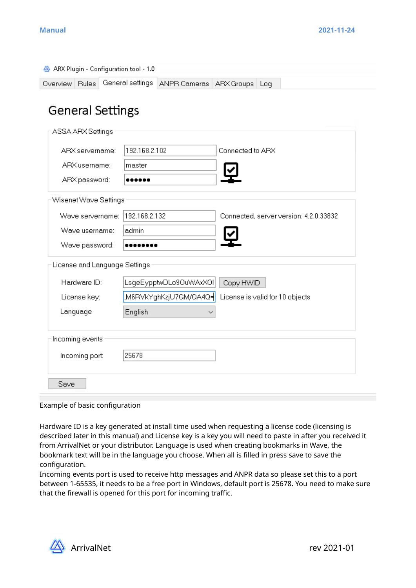| ARX Plugin - Configuration tool - 1.0 |                  |                                 |                  |                                        |
|---------------------------------------|------------------|---------------------------------|------------------|----------------------------------------|
| Overview   Rules                      | General settings | ANPR Cameras   ARX Groups   Log |                  |                                        |
|                                       |                  |                                 |                  |                                        |
| <b>General Settings</b>               |                  |                                 |                  |                                        |
| ASSA ARX Settings                     |                  |                                 |                  |                                        |
| ARX servername:                       | 192.168.2.102    |                                 | Connected to ARX |                                        |
| ARX usemame:                          | master           |                                 |                  |                                        |
| ARX password:                         |                  |                                 |                  |                                        |
|                                       |                  |                                 |                  |                                        |
| Wisenet Wave Settings                 |                  |                                 |                  |                                        |
| Wave servername:                      | 192.168.2.132    |                                 |                  | Connected, server version: 4.2.0.33832 |
| Wave username:                        | admin            |                                 |                  |                                        |
| Wave password:                        |                  |                                 |                  |                                        |
| License and Language Settings         |                  |                                 |                  |                                        |
| Hardware ID:                          |                  | LsgeEypptwDLo9OuWAxXOI          | Copy HWID        |                                        |
| License key:                          |                  | .M6RVkYghKzjU7GM/QA4Q=          |                  | License is valid for 10 objects        |
| Language                              | English          |                                 |                  |                                        |
|                                       |                  |                                 |                  |                                        |
| Incoming events                       |                  |                                 |                  |                                        |
| Incoming port:                        | 25678            |                                 |                  |                                        |
|                                       |                  |                                 |                  |                                        |
| Save                                  |                  |                                 |                  |                                        |

Example of basic configuration

Hardware ID is a key generated at install time used when requesting a license code (licensing is described later in this manual) and License key is a key you will need to paste in after you received it from ArrivalNet or your distributor. Language is used when creating bookmarks in Wave, the bookmark text will be in the language you choose. When all is filled in press save to save the configuration.

Incoming events port is used to receive http messages and ANPR data so please set this to a port between 1-65535, it needs to be a free port in Windows, default port is 25678. You need to make sure that the firewall is opened for this port for incoming traffic.

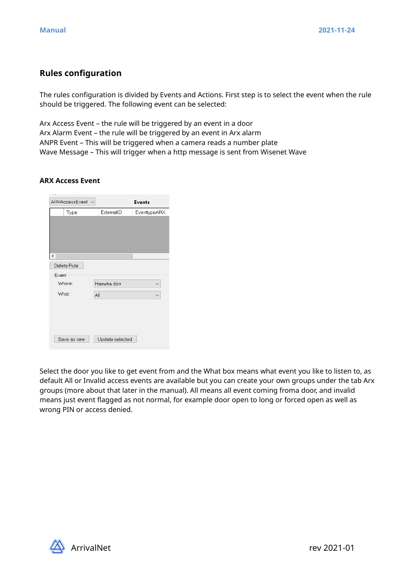## **Rules configuration**

The rules configuration is divided by Events and Actions. First step is to select the event when the rule should be triggered. The following event can be selected:

Arx Access Event – the rule will be triggered by an event in a door Arx Alarm Event – the rule will be triggered by an event in Arx alarm ANPR Event – This will be triggered when a camera reads a number plate Wave Message – This will trigger when a http message is sent from Wisenet Wave

### **ARX Access Event**

| ARXAccessEvent v         |                 | Events       |
|--------------------------|-----------------|--------------|
| Type                     | ExternalID      | EventtypeARX |
|                          |                 |              |
|                          |                 |              |
|                          |                 |              |
|                          |                 |              |
| $\overline{\phantom{a}}$ |                 |              |
| Delete Rule              |                 |              |
| Event                    |                 |              |
| Where:                   | Hanwha dörr     |              |
| What:                    | All             |              |
|                          |                 |              |
|                          |                 |              |
|                          |                 |              |
|                          |                 |              |
| Save as new              | Update selected |              |

Select the door you like to get event from and the What box means what event you like to listen to, as default All or Invalid access events are available but you can create your own groups under the tab Arx groups (more about that later in the manual). All means all event coming froma door, and invalid means just event flagged as not normal, for example door open to long or forced open as well as wrong PIN or access denied.

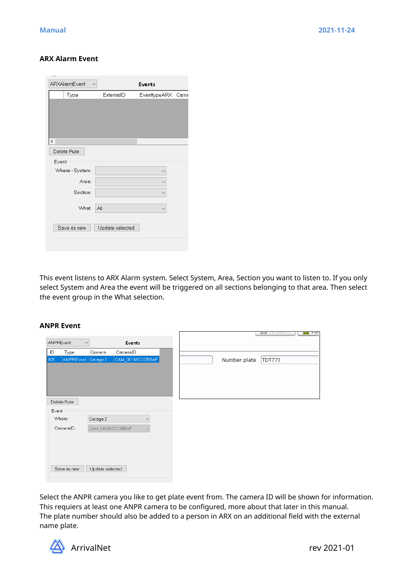#### **ARX Alarm Event**

| ARXAlarmEvent<br>$\checkmark$ |     |                 | Events       |      |
|-------------------------------|-----|-----------------|--------------|------|
| Type                          |     | ExternalID      | EventtypeARX | Came |
|                               |     |                 |              |      |
|                               |     |                 |              |      |
|                               |     |                 |              |      |
|                               |     |                 |              |      |
| ∢∣                            |     |                 |              |      |
| Delete Rule                   |     |                 |              |      |
| Event                         |     |                 |              |      |
| Where - System:               |     |                 |              |      |
| Area:                         |     |                 |              |      |
| Section:                      |     |                 |              |      |
|                               |     |                 |              |      |
| What:                         | All |                 |              |      |
|                               |     |                 |              |      |
| Save as new                   |     | Update selected |              |      |
|                               |     |                 |              |      |

This event listens to ARX Alarm system. Select System, Area, Section you want to listen to. If you only select System and Area the event will be triggered on all sections belonging to that area. Then select the event group in the What selection.

#### **ANPR Event**

| $\checkmark$<br>Events<br>ID<br>CameralD<br>Type<br>Camera<br>ANPREvent Garage 2<br>CAM_00166CCCBBAF<br>Delete Rule<br>Event<br>Where:<br>Garage 2<br>$\checkmark$<br>CameralD:<br>CAM_00166CCCBBAF | ANPREvent<br> 001 |             |                 |  |
|-----------------------------------------------------------------------------------------------------------------------------------------------------------------------------------------------------|-------------------|-------------|-----------------|--|
|                                                                                                                                                                                                     |                   |             |                 |  |
|                                                                                                                                                                                                     |                   |             |                 |  |
|                                                                                                                                                                                                     |                   |             |                 |  |
|                                                                                                                                                                                                     |                   |             |                 |  |
|                                                                                                                                                                                                     |                   |             |                 |  |
|                                                                                                                                                                                                     |                   |             |                 |  |
|                                                                                                                                                                                                     |                   |             |                 |  |
|                                                                                                                                                                                                     |                   |             |                 |  |
|                                                                                                                                                                                                     |                   |             |                 |  |
|                                                                                                                                                                                                     |                   |             |                 |  |
|                                                                                                                                                                                                     |                   |             |                 |  |
|                                                                                                                                                                                                     |                   |             |                 |  |
|                                                                                                                                                                                                     |                   |             |                 |  |
|                                                                                                                                                                                                     |                   | Save as new | Update selected |  |

Select the ANPR camera you like to get plate event from. The camera ID will be shown for information. This requiers at least one ANPR camera to be configured, more about that later in this manual. The plate number should also be added to a person in ARX on an additional field with the external name plate.

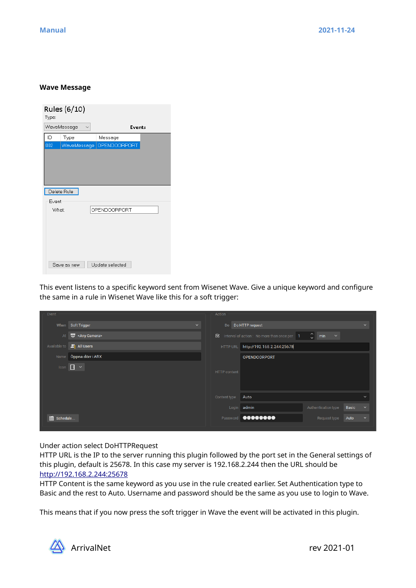#### **Wave Message**

| Type:        | Rules (6/10) |                          |  |
|--------------|--------------|--------------------------|--|
|              | WaveMessage  | <b>Events</b>            |  |
| ID           | Type         | Message                  |  |
| 002          |              | WaveMessage OPENDOORPORT |  |
|              |              |                          |  |
|              | Delete Rule  |                          |  |
| Event        |              |                          |  |
| <b>What:</b> |              | OPENDOORPORT             |  |
|              |              |                          |  |
|              | Save as new  | Update selected          |  |

This event listens to a specific keyword sent from Wisenet Wave. Give a unique keyword and configure the same in a rule in Wisenet Wave like this for a soft trigger:

| Event                   |                        |              | Action              |                                              |                             |       |              |
|-------------------------|------------------------|--------------|---------------------|----------------------------------------------|-----------------------------|-------|--------------|
| When                    | Soft Trigger           | $\checkmark$ |                     | Do Do HTTP request                           |                             |       | $\checkmark$ |
| At                      | <br><b>Warehouse</b>   |              | ⊠                   | Interval of action : No more than once per 1 | $\frac{2}{x}$ min<br>$\sim$ |       |              |
| Available to            | $\mathbb{Z}$ All Users |              | HTTP URL            | http://192.168.2.244:25678                   |                             |       |              |
| Name                    | Öppna dörr i ARX       |              |                     | <b>OPENDOORPORT</b>                          |                             |       |              |
| Icon $\boxed{1}$ $\sim$ |                        |              | <b>HTTP</b> content |                                              |                             |       |              |
|                         |                        |              | Content type        | Auto                                         |                             |       | $\checkmark$ |
|                         |                        |              |                     | Login admin                                  | Authentication type         | Basic | $\checkmark$ |
| schedule                |                        |              |                     | Password <b>@@@@@@@@</b>                     | Request type                | Auto  | $\checkmark$ |

Under action select DoHTTPRequest

HTTP URL is the IP to the server running this plugin followed by the port set in the General settings of this plugin, default is 25678. In this case my server is 192.168.2.244 then the URL should be [http://192.168.2.244:25678](http://192.168.2.244:25678/)

HTTP Content is the same keyword as you use in the rule created earlier. Set Authentication type to Basic and the rest to Auto. Username and password should be the same as you use to login to Wave.

This means that if you now press the soft trigger in Wave the event will be activated in this plugin.

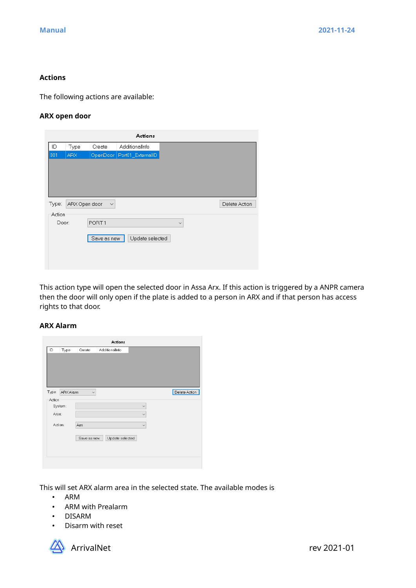#### **Actions**

The following actions are available:

#### **ARX open door**

|        |               |              | <b>Actions</b>             |              |               |
|--------|---------------|--------------|----------------------------|--------------|---------------|
| ID     | Type          | Create       | AdditionalInfo             |              |               |
| 001    | <b>ARX</b>    |              | OpenDoor Port01_ExternalID |              |               |
|        |               |              |                            |              |               |
|        |               |              |                            |              |               |
|        |               |              |                            |              |               |
|        |               |              |                            |              |               |
| Type:  | ARX Open door | $\checkmark$ |                            |              | Delete Action |
| Action |               |              |                            |              |               |
| Door:  |               | PORT1        |                            | $\checkmark$ |               |
|        |               |              |                            |              |               |
|        |               | Save as new  | Update selected            |              |               |
|        |               |              |                            |              |               |
|        |               |              |                            |              |               |
|        |               |              |                            |              |               |

This action type will open the selected door in Assa Arx. If this action is triggered by a ANPR camera then the door will only open if the plate is added to a person in ARX and if that person has access rights to that door.

## **ARX Alarm**

|         |           |              | Actions         |              |               |
|---------|-----------|--------------|-----------------|--------------|---------------|
| ID      | Type      | Create       | AdditionalInfo  |              |               |
|         |           |              |                 |              |               |
|         |           |              |                 |              |               |
|         |           |              |                 |              |               |
|         |           |              |                 |              |               |
|         |           |              |                 |              |               |
| Type:   | ARX Alarm | $\checkmark$ |                 |              | Delete Action |
| Action  |           |              |                 |              |               |
|         | System:   |              |                 | $\checkmark$ |               |
| Area:   |           |              |                 | $\checkmark$ |               |
| Action: |           |              |                 |              |               |
|         |           | Arm          |                 | $\checkmark$ |               |
|         |           | Save as new  | Update selected |              |               |
|         |           |              |                 |              |               |
|         |           |              |                 |              |               |
|         |           |              |                 |              |               |
|         |           |              |                 |              |               |

This will set ARX alarm area in the selected state. The available modes is

- ARM
- ARM with Prealarm
- DISARM
- Disarm with reset

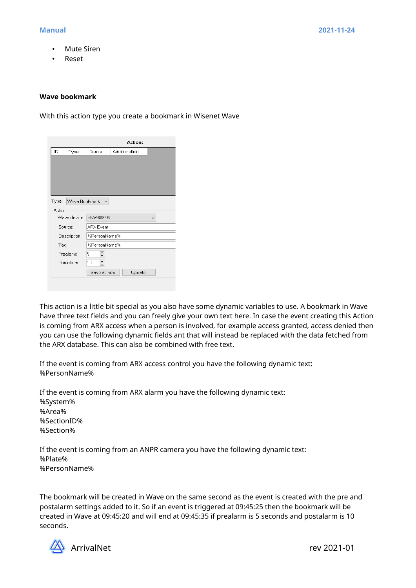- **Mute Siren**
- Reset

#### **Wave bookmark**

With this action type you create a bookmark in Wisenet Wave

|           |               |                        |                | <b>Actions</b> |  |  |
|-----------|---------------|------------------------|----------------|----------------|--|--|
| ID.       | Type          | Create                 | AdditionalInfo |                |  |  |
|           |               |                        |                |                |  |  |
|           |               |                        |                |                |  |  |
|           |               |                        |                |                |  |  |
|           |               |                        |                |                |  |  |
|           |               |                        |                |                |  |  |
| Type:     | Wave Bookmark | $\checkmark$           |                |                |  |  |
| Action    |               |                        |                |                |  |  |
|           |               | Wave device: XNV-6083R |                |                |  |  |
|           | Source:       | <b>ARX</b> Event       |                |                |  |  |
|           | Description:  | %PersonName%           |                |                |  |  |
| Tag:      |               | %PersonName%           |                |                |  |  |
| Prealarm: |               | ÷<br>5                 |                |                |  |  |
|           | Postalarm     | $\div$<br>10           |                |                |  |  |
|           |               | Save as new            |                | Update         |  |  |
|           |               |                        |                |                |  |  |

This action is a little bit special as you also have some dynamic variables to use. A bookmark in Wave have three text fields and you can freely give your own text here. In case the event creating this Action is coming from ARX access when a person is involved, for example access granted, access denied then you can use the following dynamic fields ant that will instead be replaced with the data fetched from the ARX database. This can also be combined with free text.

If the event is coming from ARX access control you have the following dynamic text: %PersonName%

If the event is coming from ARX alarm you have the following dynamic text: %System% %Area% %SectionID% %Section%

If the event is coming from an ANPR camera you have the following dynamic text: %Plate% %PersonName%

The bookmark will be created in Wave on the same second as the event is created with the pre and postalarm settings added to it. So if an event is triggered at 09:45:25 then the bookmark will be created in Wave at 09:45:20 and will end at 09:45:35 if prealarm is 5 seconds and postalarm is 10 seconds.

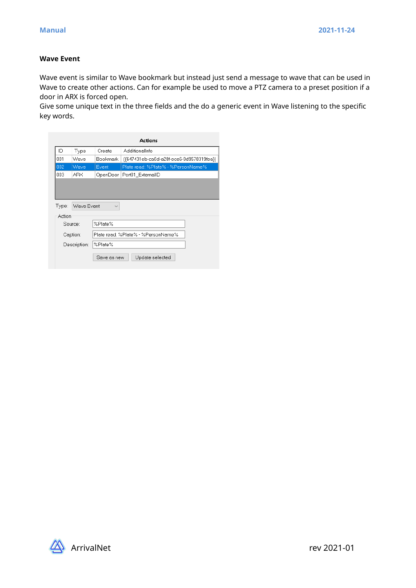### **Wave Event**

Wave event is similar to Wave bookmark but instead just send a message to wave that can be used in Wave to create other actions. Can for example be used to move a PTZ camera to a preset position if a door in ARX is forced open.

Give some unique text in the three fields and the do a generic event in Wave listening to the specific key words.

|                                               | Actions  |                                                      |                                    |  |  |  |  |
|-----------------------------------------------|----------|------------------------------------------------------|------------------------------------|--|--|--|--|
| ID                                            | Type     | Create                                               | AdditionalInfo                     |  |  |  |  |
| 001                                           | Wave     | Bookmark<br>({647431eb-ca0d-a28f-ece6-9d9578319fea}) |                                    |  |  |  |  |
| 002                                           | Wave     | Event                                                | Plate read: %Plate% - %PersonName% |  |  |  |  |
| 003                                           | ARX      | OpenDoor                                             | Port01 ExternalID                  |  |  |  |  |
| Type:<br>Wave Event<br>$\checkmark$<br>Action |          |                                                      |                                    |  |  |  |  |
|                                               | Source:  | %Plate%                                              |                                    |  |  |  |  |
|                                               | Caption: |                                                      | Plate read: %Plate% - %PersonName% |  |  |  |  |
| %Plate%<br>Description:                       |          |                                                      |                                    |  |  |  |  |
| Update selected<br>Save as new                |          |                                                      |                                    |  |  |  |  |

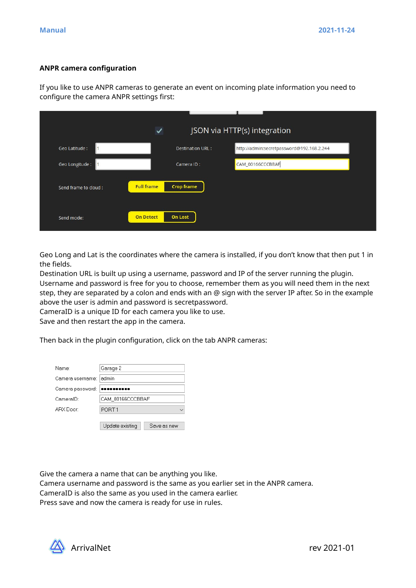#### **ANPR camera configuration**

If you like to use ANPR cameras to generate an event on incoming plate information you need to configure the camera ANPR settings first:

|                      | ✓                 |                   | JSON via HTTP(s) integration              |
|----------------------|-------------------|-------------------|-------------------------------------------|
| Geo Latitude :       |                   | Destination URL:  | http://admin:secretpassword@192.168.2.244 |
| Geo Longitude :      |                   | Camera ID:        | CAM_00166CCCBBAF                          |
| Send frame to cloud: | <b>Full frame</b> | <b>Crop frame</b> |                                           |
| Send mode:           | <b>On Detect</b>  | <b>On Lost</b>    |                                           |

Geo Long and Lat is the coordinates where the camera is installed, if you don't know that then put 1 in the fields.

Destination URL is built up using a username, password and IP of the server running the plugin. Username and password is free for you to choose, remember them as you will need them in the next step, they are separated by a colon and ends with an @ sign with the server IP after. So in the example above the user is admin and password is secretpassword.

CameraID is a unique ID for each camera you like to use.

Save and then restart the app in the camera.

Then back in the plugin configuration, click on the tab ANPR cameras:

| Name:            | Garage 2          |             |  |  |  |
|------------------|-------------------|-------------|--|--|--|
| Camera username: | admin             |             |  |  |  |
| Camera password: | ----------        |             |  |  |  |
| CameralD:        | CAM 00166CCCBBAF  |             |  |  |  |
| ARX Door         | PORT <sub>1</sub> |             |  |  |  |
|                  |                   |             |  |  |  |
|                  | Update existing   | Save as new |  |  |  |

Give the camera a name that can be anything you like.

Camera username and password is the same as you earlier set in the ANPR camera. CameraID is also the same as you used in the camera earlier.

Press save and now the camera is ready for use in rules.

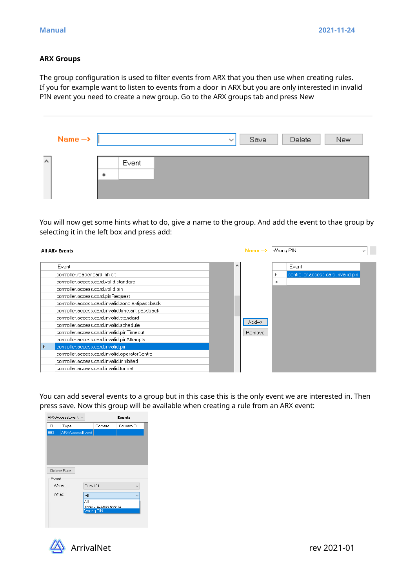#### **ARX Groups**

The group configuration is used to filter events from ARX that you then use when creating rules. If you for example want to listen to events from a door in ARX but you are only interested in invalid PIN event you need to create a new group. Go to the ARX groups tab and press New

|        | Name $\rightarrow$ |       |  | $\checkmark$ | Save | Delete | New |
|--------|--------------------|-------|--|--------------|------|--------|-----|
| $\sim$ |                    | Event |  |              |      |        |     |
|        |                    |       |  |              |      |        |     |

You will now get some hints what to do, give a name to the group. And add the event to thae group by selecting it in the left box and press add:

| <b>All ARX Events</b>                                                                                                                                                                                                                                                                                                                                                                                                                                                                                                                                                                                                            |  |          |                                                   |   | Wrong PIN<br>$\checkmark$                    |  |  |
|----------------------------------------------------------------------------------------------------------------------------------------------------------------------------------------------------------------------------------------------------------------------------------------------------------------------------------------------------------------------------------------------------------------------------------------------------------------------------------------------------------------------------------------------------------------------------------------------------------------------------------|--|----------|---------------------------------------------------|---|----------------------------------------------|--|--|
| Event<br>controller.reader.card.inhibit<br>controller.access.card.valid.standard<br>controller.access.card.valid.pin<br>controller.access.card.pinRequest<br>controller.access.card.invalid.zone.antipassback<br>controller.access.card.invalid.time.antipassback<br>controller.access.card.invalid.standard<br>controller.access.card.invalid.schedule<br>controller.access.card.invalid.pinTimeout<br>controller.access.card.invalid.pinAttempts<br>controller.access.card.invalid.pin-<br>controller.access.card.invalid.operatorControl<br>controller.access.card.invalid.inhibited<br>controller.access.card.invalid.format |  | $\wedge$ | Name $\rightarrow$<br>$Add \rightarrow$<br>Remove | 亩 | Event<br>controller.access.card.invalid.pin- |  |  |

You can add several events to a group but in this case this is the only event we are interested in. Then press save. Now this group will be available when creating a rule from an ARX event:

|             | ARXAccessEvent v      |                | Events                             |          |  |  |  |  |  |
|-------------|-----------------------|----------------|------------------------------------|----------|--|--|--|--|--|
| ID          | Type                  |                | Camera                             | CameralD |  |  |  |  |  |
| 003         | <b>ARXAccessEvent</b> |                |                                    |          |  |  |  |  |  |
|             |                       |                |                                    |          |  |  |  |  |  |
|             |                       |                |                                    |          |  |  |  |  |  |
|             |                       |                |                                    |          |  |  |  |  |  |
|             |                       |                |                                    |          |  |  |  |  |  |
| Delete Rule |                       |                |                                    |          |  |  |  |  |  |
| Event       |                       |                |                                    |          |  |  |  |  |  |
|             | Where:                | <b>Rum 101</b> |                                    |          |  |  |  |  |  |
| What:       |                       | All            |                                    |          |  |  |  |  |  |
|             |                       | All            |                                    |          |  |  |  |  |  |
|             |                       |                | Invalid access events<br>Wrong PIN |          |  |  |  |  |  |
|             |                       |                |                                    |          |  |  |  |  |  |
|             |                       |                |                                    |          |  |  |  |  |  |